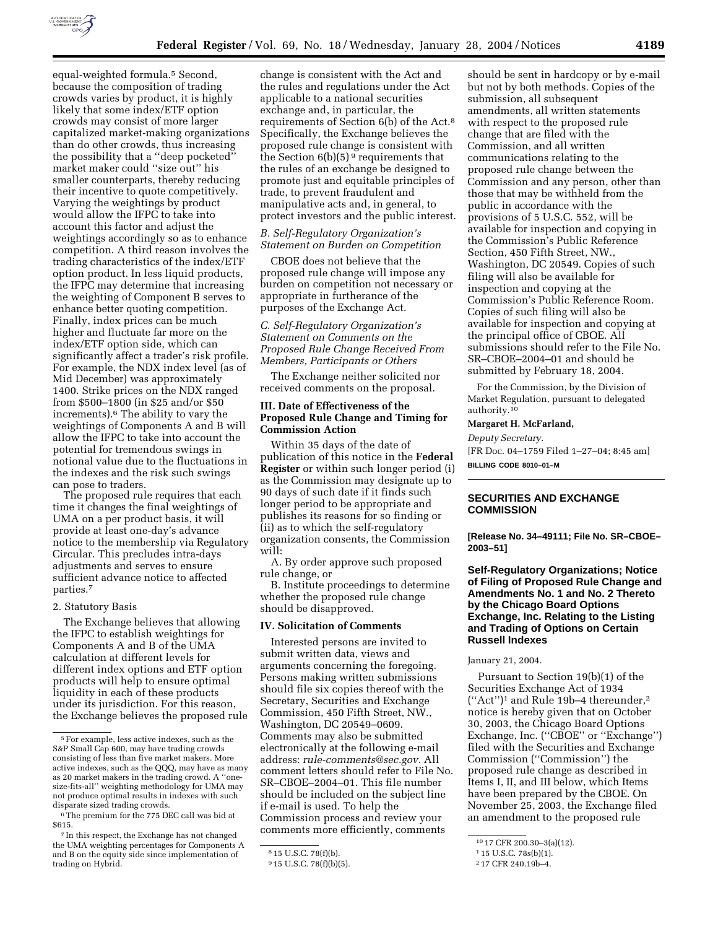

equal-weighted formula.5 Second, because the composition of trading crowds varies by product, it is highly likely that some index/ETF option crowds may consist of more larger capitalized market-making organizations than do other crowds, thus increasing the possibility that a ''deep pocketed'' market maker could ''size out'' his smaller counterparts, thereby reducing their incentive to quote competitively. Varying the weightings by product would allow the IFPC to take into account this factor and adjust the weightings accordingly so as to enhance competition. A third reason involves the trading characteristics of the index/ETF option product. In less liquid products, the IFPC may determine that increasing the weighting of Component B serves to enhance better quoting competition. Finally, index prices can be much higher and fluctuate far more on the index/ETF option side, which can significantly affect a trader's risk profile. For example, the NDX index level (as of Mid December) was approximately 1400. Strike prices on the NDX ranged from \$500–1800 (in \$25 and/or \$50 increments).6 The ability to vary the weightings of Components A and B will allow the IFPC to take into account the potential for tremendous swings in notional value due to the fluctuations in the indexes and the risk such swings can pose to traders.

The proposed rule requires that each time it changes the final weightings of UMA on a per product basis, it will provide at least one-day's advance notice to the membership via Regulatory Circular. This precludes intra-days adjustments and serves to ensure sufficient advance notice to affected parties.7

## 2. Statutory Basis

The Exchange believes that allowing the IFPC to establish weightings for Components A and B of the UMA calculation at different levels for different index options and ETF option products will help to ensure optimal liquidity in each of these products under its jurisdiction. For this reason, the Exchange believes the proposed rule

change is consistent with the Act and the rules and regulations under the Act applicable to a national securities exchange and, in particular, the requirements of Section 6(b) of the Act.8 Specifically, the Exchange believes the proposed rule change is consistent with the Section  $6(b)(5)$ <sup>9</sup> requirements that the rules of an exchange be designed to promote just and equitable principles of trade, to prevent fraudulent and manipulative acts and, in general, to protect investors and the public interest.

# *B. Self-Regulatory Organization's Statement on Burden on Competition*

CBOE does not believe that the proposed rule change will impose any burden on competition not necessary or appropriate in furtherance of the purposes of the Exchange Act.

# *C. Self-Regulatory Organization's Statement on Comments on the Proposed Rule Change Received From Members, Participants or Others*

The Exchange neither solicited nor received comments on the proposal.

# **III. Date of Effectiveness of the Proposed Rule Change and Timing for Commission Action**

Within 35 days of the date of publication of this notice in the **Federal Register** or within such longer period (i) as the Commission may designate up to 90 days of such date if it finds such longer period to be appropriate and publishes its reasons for so finding or (ii) as to which the self-regulatory organization consents, the Commission will:

A. By order approve such proposed rule change, or

B. Institute proceedings to determine whether the proposed rule change should be disapproved.

### **IV. Solicitation of Comments**

Interested persons are invited to submit written data, views and arguments concerning the foregoing. Persons making written submissions should file six copies thereof with the Secretary, Securities and Exchange Commission, 450 Fifth Street, NW., Washington, DC 20549–0609. Comments may also be submitted electronically at the following e-mail address: *rule-comments@sec.gov.* All comment letters should refer to File No. SR–CBOE–2004–01. This file number should be included on the subject line if e-mail is used. To help the Commission process and review your comments more efficiently, comments

should be sent in hardcopy or by e-mail but not by both methods. Copies of the submission, all subsequent amendments, all written statements with respect to the proposed rule change that are filed with the Commission, and all written communications relating to the proposed rule change between the Commission and any person, other than those that may be withheld from the public in accordance with the provisions of 5 U.S.C. 552, will be available for inspection and copying in the Commission's Public Reference Section, 450 Fifth Street, NW., Washington, DC 20549. Copies of such filing will also be available for inspection and copying at the Commission's Public Reference Room. Copies of such filing will also be available for inspection and copying at the principal office of CBOE. All submissions should refer to the File No. SR–CBOE–2004–01 and should be submitted by February 18, 2004.

For the Commission, by the Division of Market Regulation, pursuant to delegated authority.10

#### **Margaret H. McFarland,**

*Deputy Secretary.* [FR Doc. 04–1759 Filed 1–27–04; 8:45 am] **BILLING CODE 8010–01–M**

## **SECURITIES AND EXCHANGE COMMISSION**

**[Release No. 34–49111; File No. SR–CBOE– 2003–51]** 

# **Self-Regulatory Organizations; Notice of Filing of Proposed Rule Change and Amendments No. 1 and No. 2 Thereto by the Chicago Board Options Exchange, Inc. Relating to the Listing and Trading of Options on Certain Russell Indexes**

# January 21, 2004.

Pursuant to Section 19(b)(1) of the Securities Exchange Act of 1934 (''Act'')1 and Rule 19b–4 thereunder,2 notice is hereby given that on October 30, 2003, the Chicago Board Options Exchange, Inc. (''CBOE'' or ''Exchange'') filed with the Securities and Exchange Commission (''Commission'') the proposed rule change as described in Items I, II, and III below, which Items have been prepared by the CBOE. On November 25, 2003, the Exchange filed an amendment to the proposed rule

<sup>5</sup>For example, less active indexes, such as the S&P Small Cap 600, may have trading crowds consisting of less than five market makers. More active indexes, such as the QQQ, may have as many as 20 market makers in the trading crowd. A ''onesize-fits-all'' weighting methodology for UMA may not produce optimal results in indexes with such disparate sized trading crowds.

<sup>6</sup>The premium for the 775 DEC call was bid at \$615.

<sup>7</sup> In this respect, the Exchange has not changed the UMA weighting percentages for Components A and B on the equity side since implementation of trading on Hybrid.

<sup>8</sup> 15 U.S.C. 78(f)(b).

<sup>9</sup> 15 U.S.C. 78(f)(b)(5).

<sup>10</sup> 17 CFR 200.30–3(a)(12).

<sup>1</sup> 15 U.S.C. 78s(b)(1).

<sup>2</sup> 17 CFR 240.19b–4.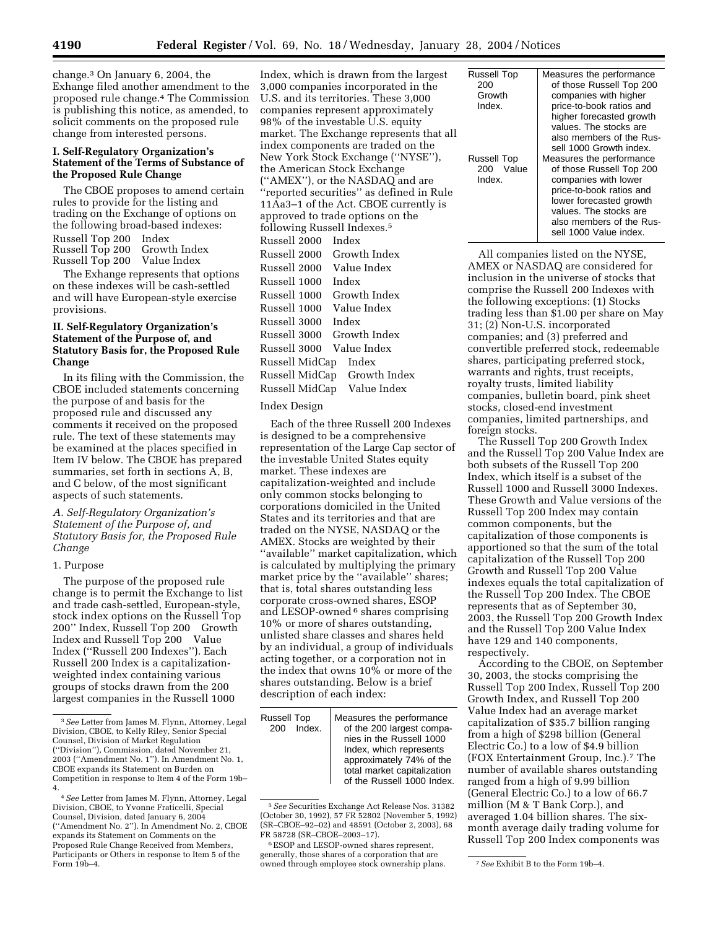change.3 On January 6, 2004, the Exhange filed another amendment to the proposed rule change.4 The Commission is publishing this notice, as amended, to solicit comments on the proposed rule change from interested persons.

# **I. Self-Regulatory Organization's Statement of the Terms of Substance of the Proposed Rule Change**

The CBOE proposes to amend certain rules to provide for the listing and trading on the Exchange of options on the following broad-based indexes: Russell Top 200® Index Russell Top 200® Growth Index Russell Top 200® Value Index

The Exhange represents that options on these indexes will be cash-settled and will have European-style exercise provisions.

# **II. Self-Regulatory Organization's Statement of the Purpose of, and Statutory Basis for, the Proposed Rule Change**

In its filing with the Commission, the CBOE included statements concerning the purpose of and basis for the proposed rule and discussed any comments it received on the proposed rule. The text of these statements may be examined at the places specified in Item IV below. The CBOE has prepared summaries, set forth in sections A, B, and C below, of the most significant aspects of such statements.

### *A. Self-Regulatory Organization's Statement of the Purpose of, and Statutory Basis for, the Proposed Rule Change*

### 1. Purpose

The purpose of the proposed rule change is to permit the Exchange to list and trade cash-settled, European-style, stock index options on the Russell Top 200" Index, Russell Top 200® Growth Index and Russell Top 200® Value Index (''Russell 200 Indexes''). Each Russell 200 Index is a capitalizationweighted index containing various groups of stocks drawn from the 200 largest companies in the Russell 1000

Index, which is drawn from the largest 3,000 companies incorporated in the U.S. and its territories. These 3,000 companies represent approximately 98% of the investable U.S. equity market. The Exchange represents that all index components are traded on the New York Stock Exchange (''NYSE''), the American Stock Exchange (''AMEX''), or the NASDAQ and are ''reported securities'' as defined in Rule 11Aa3–1 of the Act. CBOE currently is approved to trade options on the following Russell Indexes.5 Russell 2000® Index Russell 2000<sup>®</sup> Growth Index Russell 2000® Value Index Russell 1000<sup>®</sup> Index Russell 1000<sup>®</sup> Growth Index Russell 1000® Value Index Russell 3000<sup>®</sup> Index Russell 3000® Growth Index Russell 3000® Value Index Russell MidCap® Index Russell MidCap® Growth Index Russell MidCap® Value Index

### Index Design

Each of the three Russell 200 Indexes is designed to be a comprehensive representation of the Large Cap sector of the investable United States equity market. These indexes are capitalization-weighted and include only common stocks belonging to corporations domiciled in the United States and its territories and that are traded on the NYSE, NASDAQ or the AMEX. Stocks are weighted by their ''available'' market capitalization, which is calculated by multiplying the primary market price by the "available" shares; that is, total shares outstanding less corporate cross-owned shares, ESOP and LESOP-owned <sup>6</sup> shares comprising 10% or more of shares outstanding, unlisted share classes and shares held by an individual, a group of individuals acting together, or a corporation not in the index that owns 10% or more of the shares outstanding. Below is a brief description of each index:

| <b>Russell Top</b><br>200® Index. | Measures the performance<br>of the 200 largest compa-<br>nies in the Russell 1000<br>Index, which represents |
|-----------------------------------|--------------------------------------------------------------------------------------------------------------|
|                                   | approximately 74% of the                                                                                     |
|                                   | total market capitalization                                                                                  |
|                                   | of the Russell 1000 Index.                                                                                   |

<sup>5</sup>*See* Securities Exchange Act Release Nos. 31382 (October 30, 1992), 57 FR 52802 (November 5, 1992) (SR–CBOE–92–02) and 48591 (October 2, 2003), 68 FR 58728 (SR–CBOE–2003–17).

6ESOP and LESOP-owned shares represent, generally, those shares of a corporation that are owned through employee stock ownership plans. 7 See Exhibit B to the Form 19b-4.

| <b>Russell Top</b> | Measures the performance |
|--------------------|--------------------------|
| 200®               | of those Russell Top 200 |
| Growth             | companies with higher    |
| Index.             | price-to-book ratios and |
|                    | higher forecasted growth |
|                    | values. The stocks are   |
|                    | also members of the Rus- |
|                    | sell 1000 Growth index.  |
| <b>Russell Top</b> | Measures the performance |
| 200® Value         | of those Russell Top 200 |
| Index.             | companies with lower     |
|                    | price-to-book ratios and |
|                    | lower forecasted growth  |
|                    | values. The stocks are   |
|                    | also members of the Rus- |
|                    | sell 1000 Value index.   |

All companies listed on the NYSE, AMEX or NASDAQ are considered for inclusion in the universe of stocks that comprise the Russell 200 Indexes with the following exceptions: (1) Stocks trading less than \$1.00 per share on May 31; (2) Non-U.S. incorporated companies; and (3) preferred and convertible preferred stock, redeemable shares, participating preferred stock, warrants and rights, trust receipts, royalty trusts, limited liability companies, bulletin board, pink sheet stocks, closed-end investment companies, limited partnerships, and foreign stocks.

The Russell Top 200 Growth Index and the Russell Top 200 Value Index are both subsets of the Russell Top 200 Index, which itself is a subset of the Russell 1000 and Russell 3000 Indexes. These Growth and Value versions of the Russell Top 200 Index may contain common components, but the capitalization of those components is apportioned so that the sum of the total capitalization of the Russell Top 200 Growth and Russell Top 200 Value indexes equals the total capitalization of the Russell Top 200 Index. The CBOE represents that as of September 30, 2003, the Russell Top 200 Growth Index and the Russell Top 200 Value Index have 129 and 140 components, respectively.

According to the CBOE, on September 30, 2003, the stocks comprising the Russell Top 200 Index, Russell Top 200 Growth Index, and Russell Top 200 Value Index had an average market capitalization of \$35.7 billion ranging from a high of \$298 billion (General Electric Co.) to a low of \$4.9 billion (FOX Entertainment Group, Inc.).7 The number of available shares outstanding ranged from a high of 9.99 billion (General Electric Co.) to a low of 66.7 million (M & T Bank Corp.), and averaged 1.04 billion shares. The sixmonth average daily trading volume for Russell Top 200 Index components was

<sup>3</sup>*See* Letter from James M. Flynn, Attorney, Legal Division, CBOE, to Kelly Riley, Senior Special Counsel, Division of Market Regulation (''Division''), Commission, dated November 21, 2003 (''Amendment No. 1''). In Amendment No. 1, CBOE expands its Statement on Burden on Competition in response to Item 4 of the Form 19b– 4.

<sup>4</sup>*See* Letter from James M. Flynn, Attorney, Legal Division, CBOE, to Yvonne Fraticelli, Special Counsel, Division, dated January 6, 2004 (''Amendment No. 2''). In Amendment No. 2, CBOE expands its Statement on Comments on the Proposed Rule Change Received from Members Participants or Others in response to Item 5 of the Form  $19b-4$ .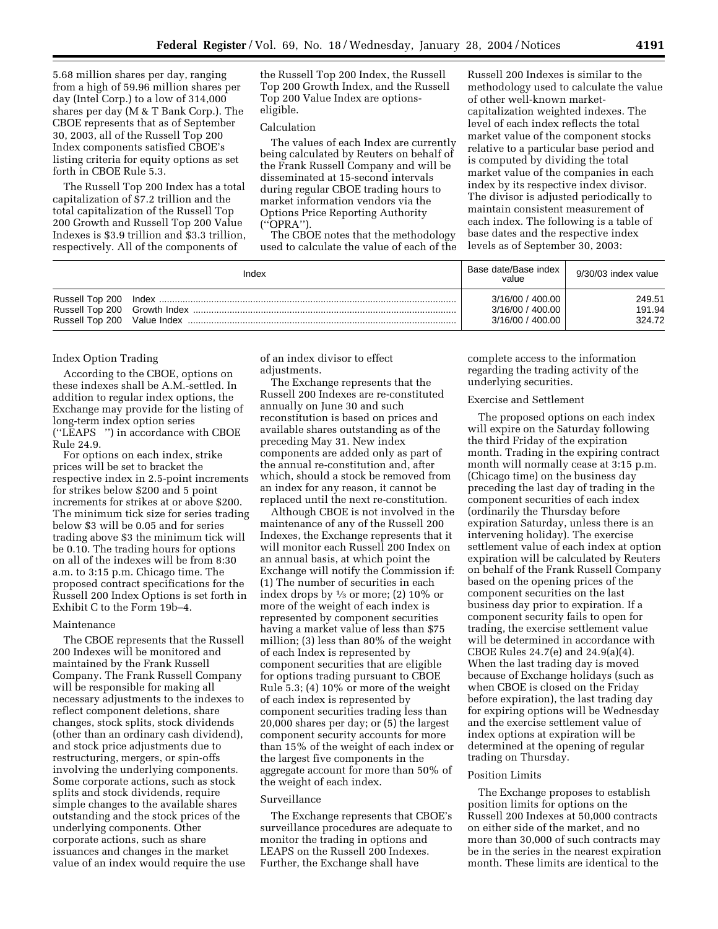5.68 million shares per day, ranging from a high of 59.96 million shares per day (Intel Corp.) to a low of 314,000 shares per day (M & T Bank Corp.). The CBOE represents that as of September 30, 2003, all of the Russell Top 200 Index components satisfied CBOE's listing criteria for equity options as set forth in CBOE Rule 5.3.

The Russell Top 200 Index has a total capitalization of \$7.2 trillion and the total capitalization of the Russell Top 200 Growth and Russell Top 200 Value Indexes is \$3.9 trillion and \$3.3 trillion, respectively. All of the components of

the Russell Top 200 Index, the Russell Top 200 Growth Index, and the Russell Top 200 Value Index are optionseligible.

#### Calculation

The values of each Index are currently being calculated by Reuters on behalf of the Frank Russell Company and will be disseminated at 15-second intervals during regular CBOE trading hours to market information vendors via the Options Price Reporting Authority (''OPRA'').

The CBOE notes that the methodology used to calculate the value of each of the

Russell 200 Indexes is similar to the methodology used to calculate the value of other well-known marketcapitalization weighted indexes. The level of each index reflects the total market value of the component stocks relative to a particular base period and is computed by dividing the total market value of the companies in each index by its respective index divisor. The divisor is adjusted periodically to maintain consistent measurement of each index. The following is a table of base dates and the respective index levels as of September 30, 2003:

| Index | Base date/Base index<br>value | 9/30/03 index value |
|-------|-------------------------------|---------------------|
|       | 3/16/00 / 400.00              | 249.51              |
|       | 3/16/00 / 400.00              | 191.94              |
|       | 3/16/00 / 400.00              | 324.72              |

### Index Option Trading

According to the CBOE, options on these indexes shall be A.M.-settled. In addition to regular index options, the Exchange may provide for the listing of long-term index option series ("LEAPS®") in accordance with CBOE Rule 24.9.

For options on each index, strike prices will be set to bracket the respective index in 2.5-point increments for strikes below \$200 and 5 point increments for strikes at or above \$200. The minimum tick size for series trading below \$3 will be 0.05 and for series trading above \$3 the minimum tick will be 0.10. The trading hours for options on all of the indexes will be from 8:30 a.m. to 3:15 p.m. Chicago time. The proposed contract specifications for the Russell 200 Index Options is set forth in Exhibit C to the Form 19b–4.

### Maintenance

The CBOE represents that the Russell 200 Indexes will be monitored and maintained by the Frank Russell Company. The Frank Russell Company will be responsible for making all necessary adjustments to the indexes to reflect component deletions, share changes, stock splits, stock dividends (other than an ordinary cash dividend), and stock price adjustments due to restructuring, mergers, or spin-offs involving the underlying components. Some corporate actions, such as stock splits and stock dividends, require simple changes to the available shares outstanding and the stock prices of the underlying components. Other corporate actions, such as share issuances and changes in the market value of an index would require the use

of an index divisor to effect adjustments.

The Exchange represents that the Russell 200 Indexes are re-constituted annually on June 30 and such reconstitution is based on prices and available shares outstanding as of the preceding May 31. New index components are added only as part of the annual re-constitution and, after which, should a stock be removed from an index for any reason, it cannot be replaced until the next re-constitution.

Although CBOE is not involved in the maintenance of any of the Russell 200 Indexes, the Exchange represents that it will monitor each Russell 200 Index on an annual basis, at which point the Exchange will notify the Commission if: (1) The number of securities in each index drops by  $\frac{1}{3}$  or more; (2) 10% or more of the weight of each index is represented by component securities having a market value of less than \$75 million; (3) less than 80% of the weight of each Index is represented by component securities that are eligible for options trading pursuant to CBOE Rule 5.3; (4) 10% or more of the weight of each index is represented by component securities trading less than 20,000 shares per day; or (5) the largest component security accounts for more than 15% of the weight of each index or the largest five components in the aggregate account for more than 50% of the weight of each index.

# Surveillance

The Exchange represents that CBOE's surveillance procedures are adequate to monitor the trading in options and LEAPS on the Russell 200 Indexes. Further, the Exchange shall have

complete access to the information regarding the trading activity of the underlying securities.

#### Exercise and Settlement

The proposed options on each index will expire on the Saturday following the third Friday of the expiration month. Trading in the expiring contract month will normally cease at 3:15 p.m. (Chicago time) on the business day preceding the last day of trading in the component securities of each index (ordinarily the Thursday before expiration Saturday, unless there is an intervening holiday). The exercise settlement value of each index at option expiration will be calculated by Reuters on behalf of the Frank Russell Company based on the opening prices of the component securities on the last business day prior to expiration. If a component security fails to open for trading, the exercise settlement value will be determined in accordance with CBOE Rules 24.7(e) and 24.9(a)(4). When the last trading day is moved because of Exchange holidays (such as when CBOE is closed on the Friday before expiration), the last trading day for expiring options will be Wednesday and the exercise settlement value of index options at expiration will be determined at the opening of regular trading on Thursday.

#### Position Limits

The Exchange proposes to establish position limits for options on the Russell 200 Indexes at 50,000 contracts on either side of the market, and no more than 30,000 of such contracts may be in the series in the nearest expiration month. These limits are identical to the